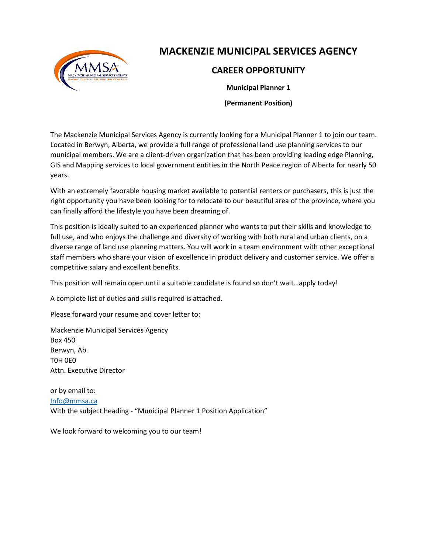

# **MACKENZIE MUNICIPAL SERVICES AGENCY**

# **CAREER OPPORTUNITY**

**Municipal Planner 1**

**(Permanent Position)**

The Mackenzie Municipal Services Agency is currently looking for a Municipal Planner 1 to join our team. Located in Berwyn, Alberta, we provide a full range of professional land use planning services to our municipal members. We are a client-driven organization that has been providing leading edge Planning, GIS and Mapping services to local government entities in the North Peace region of Alberta for nearly 50 years.

With an extremely favorable housing market available to potential renters or purchasers, this is just the right opportunity you have been looking for to relocate to our beautiful area of the province, where you can finally afford the lifestyle you have been dreaming of.

This position is ideally suited to an experienced planner who wants to put their skills and knowledge to full use, and who enjoys the challenge and diversity of working with both rural and urban clients, on a diverse range of land use planning matters. You will work in a team environment with other exceptional staff members who share your vision of excellence in product delivery and customer service. We offer a competitive salary and excellent benefits.

This position will remain open until a suitable candidate is found so don't wait…apply today!

A complete list of duties and skills required is attached.

Please forward your resume and cover letter to:

Mackenzie Municipal Services Agency Box 450 Berwyn, Ab. T0H 0E0 Attn. Executive Director

or by email to: [Info@mmsa.ca](mailto:Info@mmsa.ca) With the subject heading - "Municipal Planner 1 Position Application"

We look forward to welcoming you to our team!